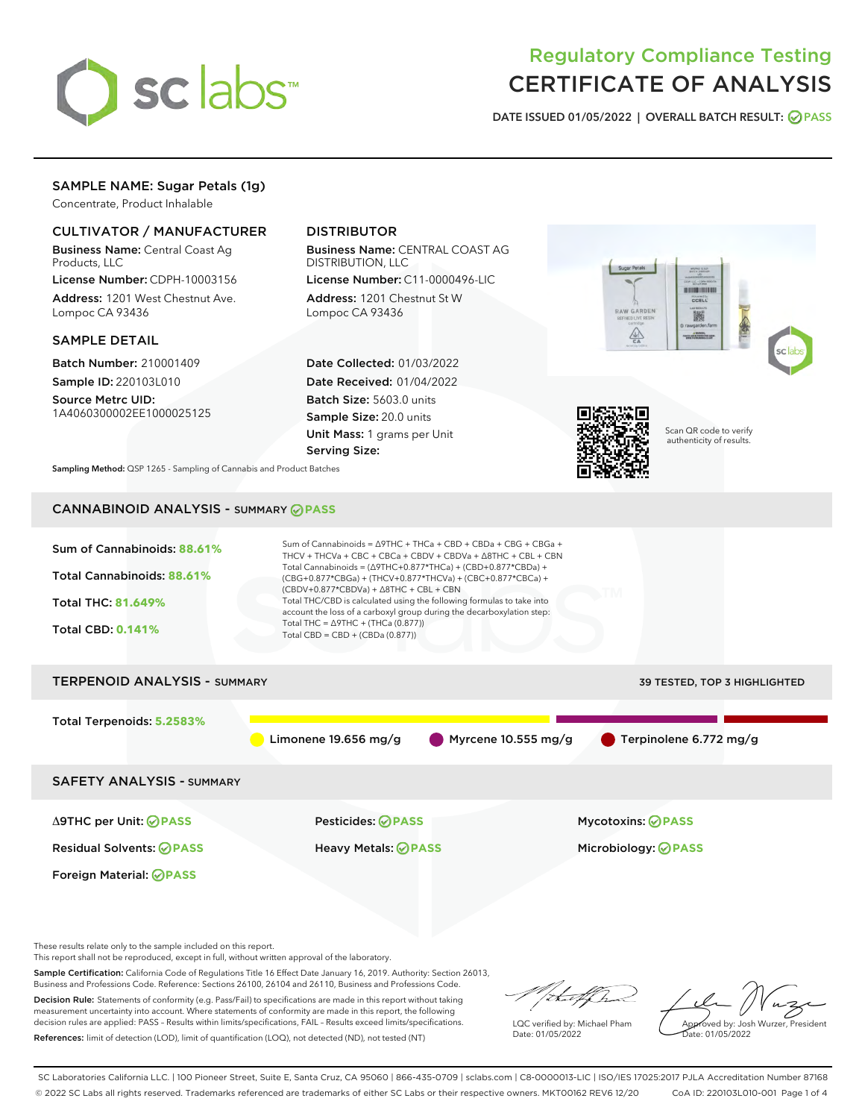

# Regulatory Compliance Testing CERTIFICATE OF ANALYSIS

DATE ISSUED 01/05/2022 | OVERALL BATCH RESULT: @ PASS

# SAMPLE NAME: Sugar Petals (1g)

Concentrate, Product Inhalable

# CULTIVATOR / MANUFACTURER

Business Name: Central Coast Ag Products, LLC

License Number: CDPH-10003156 Address: 1201 West Chestnut Ave. Lompoc CA 93436

# SAMPLE DETAIL

Batch Number: 210001409 Sample ID: 220103L010

Source Metrc UID: 1A4060300002EE1000025125

# DISTRIBUTOR

Business Name: CENTRAL COAST AG DISTRIBUTION, LLC

License Number: C11-0000496-LIC Address: 1201 Chestnut St W Lompoc CA 93436

Date Collected: 01/03/2022 Date Received: 01/04/2022 Batch Size: 5603.0 units Sample Size: 20.0 units Unit Mass: 1 grams per Unit Serving Size:





Scan QR code to verify authenticity of results.

Sampling Method: QSP 1265 - Sampling of Cannabis and Product Batches

# CANNABINOID ANALYSIS - SUMMARY **PASS**



These results relate only to the sample included on this report.

This report shall not be reproduced, except in full, without written approval of the laboratory.

Sample Certification: California Code of Regulations Title 16 Effect Date January 16, 2019. Authority: Section 26013, Business and Professions Code. Reference: Sections 26100, 26104 and 26110, Business and Professions Code.

Decision Rule: Statements of conformity (e.g. Pass/Fail) to specifications are made in this report without taking measurement uncertainty into account. Where statements of conformity are made in this report, the following decision rules are applied: PASS – Results within limits/specifications, FAIL – Results exceed limits/specifications. References: limit of detection (LOD), limit of quantification (LOQ), not detected (ND), not tested (NT)

that f(ha

LQC verified by: Michael Pham Date: 01/05/2022

Approved by: Josh Wurzer, President ate: 01/05/2022

SC Laboratories California LLC. | 100 Pioneer Street, Suite E, Santa Cruz, CA 95060 | 866-435-0709 | sclabs.com | C8-0000013-LIC | ISO/IES 17025:2017 PJLA Accreditation Number 87168 © 2022 SC Labs all rights reserved. Trademarks referenced are trademarks of either SC Labs or their respective owners. MKT00162 REV6 12/20 CoA ID: 220103L010-001 Page 1 of 4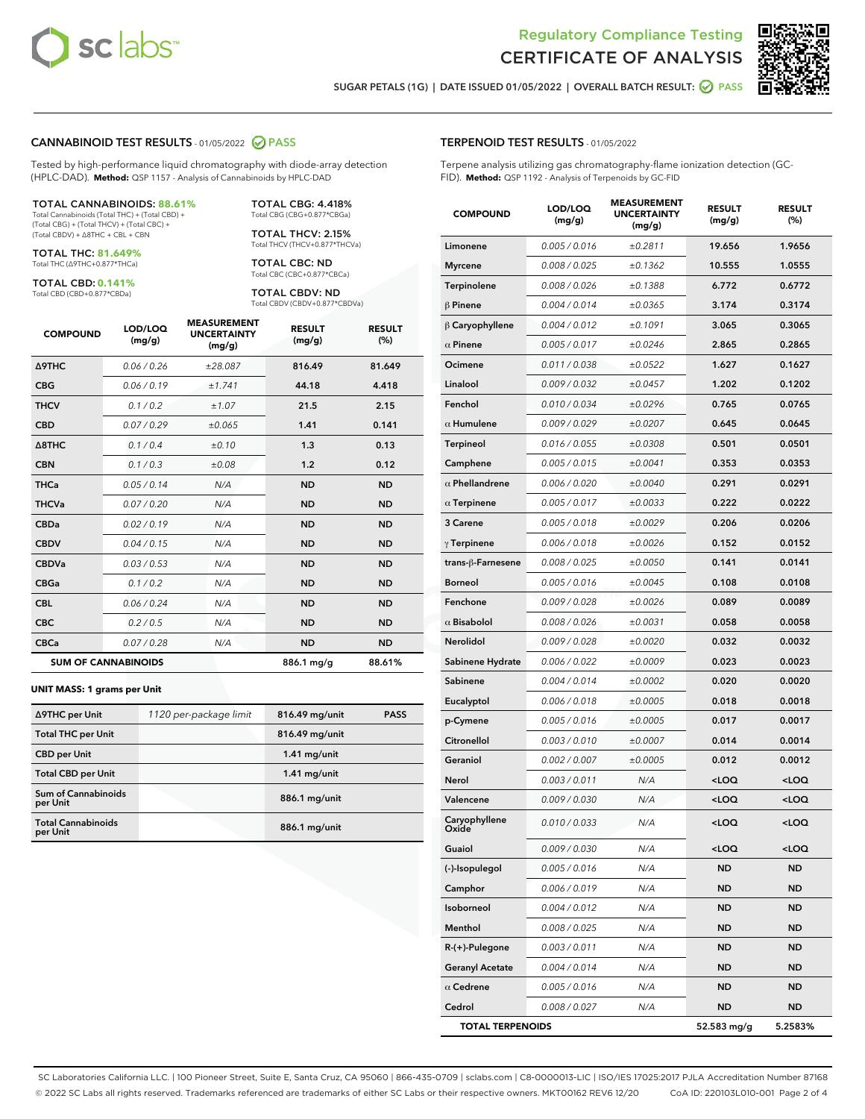



SUGAR PETALS (1G) | DATE ISSUED 01/05/2022 | OVERALL BATCH RESULT: @ PASS

# CANNABINOID TEST RESULTS - 01/05/2022 2 PASS

Tested by high-performance liquid chromatography with diode-array detection (HPLC-DAD). **Method:** QSP 1157 - Analysis of Cannabinoids by HPLC-DAD

#### TOTAL CANNABINOIDS: **88.61%**

Total Cannabinoids (Total THC) + (Total CBD) + (Total CBG) + (Total THCV) + (Total CBC) + (Total CBDV) + ∆8THC + CBL + CBN

TOTAL THC: **81.649%** Total THC (∆9THC+0.877\*THCa)

TOTAL CBD: **0.141%**

Total CBD (CBD+0.877\*CBDa)

TOTAL CBG: 4.418% Total CBG (CBG+0.877\*CBGa)

TOTAL THCV: 2.15% Total THCV (THCV+0.877\*THCVa)

TOTAL CBC: ND Total CBC (CBC+0.877\*CBCa)

TOTAL CBDV: ND Total CBDV (CBDV+0.877\*CBDVa)

| <b>COMPOUND</b>  | LOD/LOQ<br>(mg/g)          | <b>MEASUREMENT</b><br><b>UNCERTAINTY</b><br>(mg/g) | <b>RESULT</b><br>(mg/g) | <b>RESULT</b><br>(%) |
|------------------|----------------------------|----------------------------------------------------|-------------------------|----------------------|
| <b>A9THC</b>     | 0.06 / 0.26                | ±28.087                                            | 816.49                  | 81.649               |
| <b>CBG</b>       | 0.06/0.19                  | ±1.741                                             | 44.18                   | 4.418                |
| <b>THCV</b>      | 0.1 / 0.2                  | ±1.07                                              | 21.5                    | 2.15                 |
| <b>CBD</b>       | 0.07/0.29                  | ±0.065                                             | 1.41                    | 0.141                |
| $\triangle$ 8THC | 0.1 / 0.4                  | $\pm 0.10$                                         | 1.3                     | 0.13                 |
| <b>CBN</b>       | 0.1/0.3                    | ±0.08                                              | 1.2                     | 0.12                 |
| <b>THCa</b>      | 0.05/0.14                  | N/A                                                | <b>ND</b>               | <b>ND</b>            |
| <b>THCVa</b>     | 0.07/0.20                  | N/A                                                | <b>ND</b>               | <b>ND</b>            |
| <b>CBDa</b>      | 0.02/0.19                  | N/A                                                | <b>ND</b>               | <b>ND</b>            |
| <b>CBDV</b>      | 0.04/0.15                  | N/A                                                | <b>ND</b>               | <b>ND</b>            |
| <b>CBDVa</b>     | 0.03/0.53                  | N/A                                                | <b>ND</b>               | <b>ND</b>            |
| <b>CBGa</b>      | 0.1/0.2                    | N/A                                                | <b>ND</b>               | <b>ND</b>            |
| <b>CBL</b>       | 0.06 / 0.24                | N/A                                                | <b>ND</b>               | <b>ND</b>            |
| <b>CBC</b>       | 0.2 / 0.5                  | N/A                                                | <b>ND</b>               | <b>ND</b>            |
| <b>CBCa</b>      | 0.07 / 0.28                | N/A                                                | <b>ND</b>               | <b>ND</b>            |
|                  | <b>SUM OF CANNABINOIDS</b> |                                                    | 886.1 mg/g              | 88.61%               |

#### **UNIT MASS: 1 grams per Unit**

| ∆9THC per Unit                        | 1120 per-package limit | 816.49 mg/unit | <b>PASS</b> |
|---------------------------------------|------------------------|----------------|-------------|
| <b>Total THC per Unit</b>             |                        | 816.49 mg/unit |             |
| <b>CBD</b> per Unit                   |                        | $1.41$ mg/unit |             |
| <b>Total CBD per Unit</b>             |                        | $1.41$ mg/unit |             |
| Sum of Cannabinoids<br>per Unit       |                        | 886.1 mg/unit  |             |
| <b>Total Cannabinoids</b><br>per Unit |                        | 886.1 mg/unit  |             |

| <b>COMPOUND</b>               | LOD/LOQ<br>(mg/g) | <b>MEASUREMENT</b><br><b>UNCERTAINTY</b><br>(mg/g) | <b>RESULT</b><br>(mg/g)                         | <b>RESULT</b><br>(%) |
|-------------------------------|-------------------|----------------------------------------------------|-------------------------------------------------|----------------------|
| Limonene                      | 0.005 / 0.016     | ±0.2811                                            | 19.656                                          | 1.9656               |
| <b>Myrcene</b>                | 0.008 / 0.025     | ±0.1362                                            | 10.555                                          | 1.0555               |
| Terpinolene                   | 0.008 / 0.026     | ±0.1388                                            | 6.772                                           | 0.6772               |
| $\beta$ Pinene                | 0.004 / 0.014     | ±0.0365                                            | 3.174                                           | 0.3174               |
| $\upbeta$ Caryophyllene       | 0.004 / 0.012     | ±0.1091                                            | 3.065                                           | 0.3065               |
| $\alpha$ Pinene               | 0.005 / 0.017     | ±0.0246                                            | 2.865                                           | 0.2865               |
| Ocimene                       | 0.011 / 0.038     | ±0.0522                                            | 1.627                                           | 0.1627               |
| Linalool                      | 0.009 / 0.032     | ±0.0457                                            | 1.202                                           | 0.1202               |
| Fenchol                       | 0.010 / 0.034     | ±0.0296                                            | 0.765                                           | 0.0765               |
| $\alpha$ Humulene             | 0.009/0.029       | ±0.0207                                            | 0.645                                           | 0.0645               |
| Terpineol                     | 0.016 / 0.055     | ±0.0308                                            | 0.501                                           | 0.0501               |
| Camphene                      | 0.005 / 0.015     | ±0.0041                                            | 0.353                                           | 0.0353               |
| $\alpha$ Phellandrene         | 0.006 / 0.020     | ±0.0040                                            | 0.291                                           | 0.0291               |
| $\alpha$ Terpinene            | 0.005 / 0.017     | ±0.0033                                            | 0.222                                           | 0.0222               |
| 3 Carene                      | 0.005 / 0.018     | ±0.0029                                            | 0.206                                           | 0.0206               |
| $\gamma$ Terpinene            | 0.006 / 0.018     | ±0.0026                                            | 0.152                                           | 0.0152               |
| trans-β-Farnesene             | 0.008 / 0.025     | ±0.0050                                            | 0.141                                           | 0.0141               |
| <b>Borneol</b>                | 0.005 / 0.016     | ±0.0045                                            | 0.108                                           | 0.0108               |
| Fenchone                      | 0.009/0.028       | ±0.0026                                            | 0.089                                           | 0.0089               |
| $\alpha$ Bisabolol            | 0.008 / 0.026     | ±0.0031                                            | 0.058                                           | 0.0058               |
| Nerolidol                     | 0.009 / 0.028     | ±0.0020                                            | 0.032                                           | 0.0032               |
| Sabinene Hydrate              | 0.006 / 0.022     | ±0.0009                                            | 0.023                                           | 0.0023               |
| Sabinene                      | 0.004 / 0.014     | ±0.0002                                            | 0.020                                           | 0.0020               |
| Eucalyptol                    | 0.006 / 0.018     | ±0.0005                                            | 0.018                                           | 0.0018               |
| p-Cymene                      | 0.005 / 0.016     | ±0.0005                                            | 0.017                                           | 0.0017               |
| Citronellol                   | 0.003 / 0.010     | ±0.0007                                            | 0.014                                           | 0.0014               |
| Geraniol                      | 0.002 / 0.007     | ±0.0005                                            | 0.012                                           | 0.0012               |
| Nerol                         | 0.003 / 0.011     | N/A                                                | <loq< th=""><th><loq< th=""></loq<></th></loq<> | <loq< th=""></loq<>  |
| Valencene                     | 0.009 / 0.030     | N/A                                                | <loq< th=""><th><loq< th=""></loq<></th></loq<> | <loq< th=""></loq<>  |
| Caryophyllene<br><b>Dxide</b> | 0.010 / 0.033     | N/A                                                | <loq< th=""><th><loq< th=""></loq<></th></loq<> | <loq< th=""></loq<>  |
| Guaiol                        | 0.009 / 0.030     | N/A                                                | <loq< th=""><th><loq< th=""></loq<></th></loq<> | <loq< th=""></loq<>  |
| (-)-Isopulegol                | 0.005 / 0.016     | N/A                                                | ND                                              | ND                   |
| Camphor                       | 0.006 / 0.019     | N/A                                                | ND                                              | ND                   |
| Isoborneol                    | 0.004 / 0.012     | N/A                                                | ND                                              | ND                   |
| Menthol                       | 0.008 / 0.025     | N/A                                                | ND                                              | <b>ND</b>            |
| R-(+)-Pulegone                | 0.003 / 0.011     | N/A                                                | <b>ND</b>                                       | ND                   |
| <b>Geranyl Acetate</b>        | 0.004 / 0.014     | N/A                                                | ND                                              | ND                   |
| $\alpha$ Cedrene              | 0.005 / 0.016     | N/A                                                | ND                                              | <b>ND</b>            |
| Cedrol                        | 0.008 / 0.027     | N/A                                                | ND                                              | <b>ND</b>            |
| <b>TOTAL TERPENOIDS</b>       |                   |                                                    | 52.583 mg/g                                     | 5.2583%              |

SC Laboratories California LLC. | 100 Pioneer Street, Suite E, Santa Cruz, CA 95060 | 866-435-0709 | sclabs.com | C8-0000013-LIC | ISO/IES 17025:2017 PJLA Accreditation Number 87168 © 2022 SC Labs all rights reserved. Trademarks referenced are trademarks of either SC Labs or their respective owners. MKT00162 REV6 12/20 CoA ID: 220103L010-001 Page 2 of 4

# TERPENOID TEST RESULTS - 01/05/2022

Terpene analysis utilizing gas chromatography-flame ionization detection (GC-FID). **Method:** QSP 1192 - Analysis of Terpenoids by GC-FID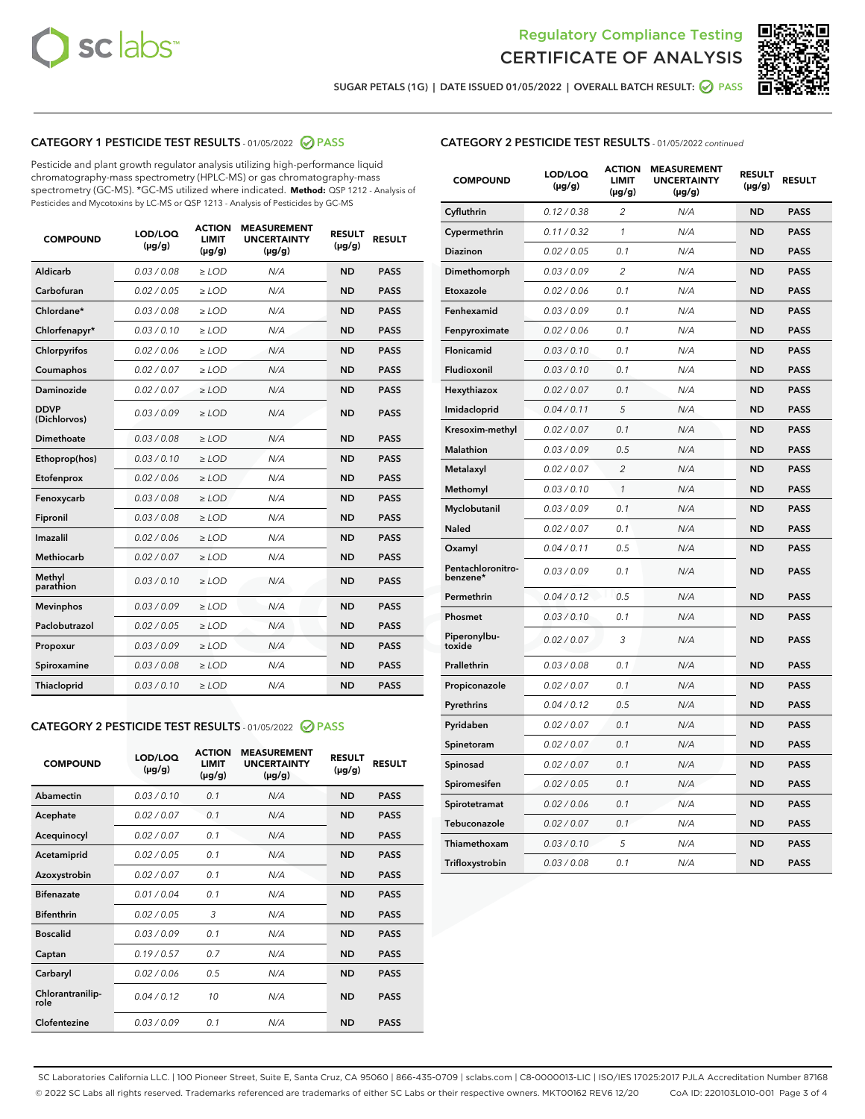



SUGAR PETALS (1G) | DATE ISSUED 01/05/2022 | OVERALL BATCH RESULT:  $\bigcirc$  PASS

# CATEGORY 1 PESTICIDE TEST RESULTS - 01/05/2022 2 PASS

Pesticide and plant growth regulator analysis utilizing high-performance liquid chromatography-mass spectrometry (HPLC-MS) or gas chromatography-mass spectrometry (GC-MS). \*GC-MS utilized where indicated. **Method:** QSP 1212 - Analysis of Pesticides and Mycotoxins by LC-MS or QSP 1213 - Analysis of Pesticides by GC-MS

| <b>COMPOUND</b>             | LOD/LOQ<br>$(\mu g/g)$ | <b>ACTION</b><br><b>LIMIT</b><br>$(\mu g/g)$ | <b>MEASUREMENT</b><br><b>UNCERTAINTY</b><br>$(\mu g/g)$ | <b>RESULT</b><br>$(\mu g/g)$ | <b>RESULT</b> |
|-----------------------------|------------------------|----------------------------------------------|---------------------------------------------------------|------------------------------|---------------|
| Aldicarb                    | 0.03 / 0.08            | $\geq$ LOD                                   | N/A                                                     | <b>ND</b>                    | <b>PASS</b>   |
| Carbofuran                  | 0.02/0.05              | $>$ LOD                                      | N/A                                                     | <b>ND</b>                    | <b>PASS</b>   |
| Chlordane*                  | 0.03 / 0.08            | $\ge$ LOD                                    | N/A                                                     | <b>ND</b>                    | <b>PASS</b>   |
| Chlorfenapyr*               | 0.03/0.10              | $>$ LOD                                      | N/A                                                     | <b>ND</b>                    | <b>PASS</b>   |
| Chlorpyrifos                | 0.02 / 0.06            | $\ge$ LOD                                    | N/A                                                     | <b>ND</b>                    | <b>PASS</b>   |
| Coumaphos                   | 0.02 / 0.07            | $\ge$ LOD                                    | N/A                                                     | <b>ND</b>                    | <b>PASS</b>   |
| Daminozide                  | 0.02 / 0.07            | $\ge$ LOD                                    | N/A                                                     | <b>ND</b>                    | <b>PASS</b>   |
| <b>DDVP</b><br>(Dichlorvos) | 0.03/0.09              | $\ge$ LOD                                    | N/A                                                     | <b>ND</b>                    | <b>PASS</b>   |
| Dimethoate                  | 0.03/0.08              | $>$ LOD                                      | N/A                                                     | <b>ND</b>                    | <b>PASS</b>   |
| Ethoprop(hos)               | 0.03/0.10              | $\ge$ LOD                                    | N/A                                                     | <b>ND</b>                    | <b>PASS</b>   |
| Etofenprox                  | 0.02 / 0.06            | $\ge$ LOD                                    | N/A                                                     | <b>ND</b>                    | <b>PASS</b>   |
| Fenoxycarb                  | 0.03 / 0.08            | $\ge$ LOD                                    | N/A                                                     | <b>ND</b>                    | <b>PASS</b>   |
| Fipronil                    | 0.03/0.08              | $>$ LOD                                      | N/A                                                     | <b>ND</b>                    | <b>PASS</b>   |
| Imazalil                    | 0.02 / 0.06            | $\ge$ LOD                                    | N/A                                                     | <b>ND</b>                    | <b>PASS</b>   |
| <b>Methiocarb</b>           | 0.02 / 0.07            | $\ge$ LOD                                    | N/A                                                     | <b>ND</b>                    | <b>PASS</b>   |
| Methyl<br>parathion         | 0.03/0.10              | $\ge$ LOD                                    | N/A                                                     | <b>ND</b>                    | <b>PASS</b>   |
| <b>Mevinphos</b>            | 0.03/0.09              | $>$ LOD                                      | N/A                                                     | <b>ND</b>                    | <b>PASS</b>   |
| Paclobutrazol               | 0.02 / 0.05            | $\ge$ LOD                                    | N/A                                                     | <b>ND</b>                    | <b>PASS</b>   |
| Propoxur                    | 0.03/0.09              | $\ge$ LOD                                    | N/A                                                     | <b>ND</b>                    | <b>PASS</b>   |
| Spiroxamine                 | 0.03 / 0.08            | $\ge$ LOD                                    | N/A                                                     | <b>ND</b>                    | <b>PASS</b>   |
| Thiacloprid                 | 0.03/0.10              | $\ge$ LOD                                    | N/A                                                     | <b>ND</b>                    | <b>PASS</b>   |

### CATEGORY 2 PESTICIDE TEST RESULTS - 01/05/2022 2 PASS

| <b>COMPOUND</b>          | LOD/LOO<br>$(\mu g/g)$ | <b>ACTION</b><br>LIMIT<br>$(\mu g/g)$ | <b>MEASUREMENT</b><br><b>UNCERTAINTY</b><br>$(\mu g/g)$ | <b>RESULT</b><br>$(\mu g/g)$ | <b>RESULT</b> |  |
|--------------------------|------------------------|---------------------------------------|---------------------------------------------------------|------------------------------|---------------|--|
| Abamectin                | 0.03/0.10              | 0.1                                   | N/A                                                     | <b>ND</b>                    | <b>PASS</b>   |  |
| Acephate                 | 0.02/0.07              | 0.1                                   | N/A                                                     | <b>ND</b>                    | <b>PASS</b>   |  |
| Acequinocyl              | 0.02/0.07              | 0.1                                   | N/A                                                     | <b>ND</b>                    | <b>PASS</b>   |  |
| Acetamiprid              | 0.02 / 0.05            | 0.1                                   | N/A                                                     | <b>ND</b>                    | <b>PASS</b>   |  |
| Azoxystrobin             | 0.02/0.07              | 0.1                                   | N/A                                                     | <b>ND</b>                    | <b>PASS</b>   |  |
| <b>Bifenazate</b>        | 0.01 / 0.04            | 0.1                                   | N/A                                                     | <b>ND</b>                    | <b>PASS</b>   |  |
| <b>Bifenthrin</b>        | 0.02 / 0.05            | 3                                     | N/A                                                     | <b>ND</b>                    | <b>PASS</b>   |  |
| <b>Boscalid</b>          | 0.03/0.09              | 0.1                                   | N/A                                                     | <b>ND</b>                    | <b>PASS</b>   |  |
| Captan                   | 0.19/0.57              | 0.7                                   | N/A                                                     | <b>ND</b>                    | <b>PASS</b>   |  |
| Carbaryl                 | 0.02/0.06              | 0.5                                   | N/A                                                     | <b>ND</b>                    | <b>PASS</b>   |  |
| Chlorantranilip-<br>role | 0.04/0.12              | 10                                    | N/A                                                     | <b>ND</b>                    | <b>PASS</b>   |  |
| Clofentezine             | 0.03/0.09              | 0.1                                   | N/A                                                     | <b>ND</b>                    | <b>PASS</b>   |  |

| <b>CATEGORY 2 PESTICIDE TEST RESULTS</b> - 01/05/2022 continued |
|-----------------------------------------------------------------|
|-----------------------------------------------------------------|

| <b>COMPOUND</b>               | LOD/LOQ<br>(µg/g) | <b>ACTION</b><br>LIMIT<br>$(\mu g/g)$ | <b>MEASUREMENT</b><br><b>UNCERTAINTY</b><br>$(\mu g/g)$ | <b>RESULT</b><br>(µg/g) | <b>RESULT</b> |
|-------------------------------|-------------------|---------------------------------------|---------------------------------------------------------|-------------------------|---------------|
| Cyfluthrin                    | 0.12 / 0.38       | 2                                     | N/A                                                     | <b>ND</b>               | <b>PASS</b>   |
| Cypermethrin                  | 0.11 / 0.32       | 1                                     | N/A                                                     | <b>ND</b>               | <b>PASS</b>   |
| Diazinon                      | 0.02 / 0.05       | 0.1                                   | N/A                                                     | ND                      | PASS          |
| Dimethomorph                  | 0.03 / 0.09       | $\overline{2}$                        | N/A                                                     | <b>ND</b>               | <b>PASS</b>   |
| Etoxazole                     | 0.02 / 0.06       | 0.1                                   | N/A                                                     | ND                      | <b>PASS</b>   |
| Fenhexamid                    | 0.03 / 0.09       | 0.1                                   | N/A                                                     | ND                      | <b>PASS</b>   |
| Fenpyroximate                 | 0.02 / 0.06       | 0.1                                   | N/A                                                     | <b>ND</b>               | <b>PASS</b>   |
| Flonicamid                    | 0.03 / 0.10       | 0.1                                   | N/A                                                     | <b>ND</b>               | <b>PASS</b>   |
| Fludioxonil                   | 0.03 / 0.10       | 0.1                                   | N/A                                                     | <b>ND</b>               | <b>PASS</b>   |
| Hexythiazox                   | 0.02 / 0.07       | 0.1                                   | N/A                                                     | ND                      | <b>PASS</b>   |
| Imidacloprid                  | 0.04 / 0.11       | 5                                     | N/A                                                     | <b>ND</b>               | <b>PASS</b>   |
| Kresoxim-methyl               | 0.02 / 0.07       | 0.1                                   | N/A                                                     | ND                      | <b>PASS</b>   |
| Malathion                     | 0.03 / 0.09       | 0.5                                   | N/A                                                     | ND                      | <b>PASS</b>   |
| Metalaxyl                     | 0.02 / 0.07       | $\overline{2}$                        | N/A                                                     | <b>ND</b>               | <b>PASS</b>   |
| Methomyl                      | 0.03 / 0.10       | 1                                     | N/A                                                     | <b>ND</b>               | <b>PASS</b>   |
| Myclobutanil                  | 0.03 / 0.09       | 0.1                                   | N/A                                                     | ND                      | <b>PASS</b>   |
| <b>Naled</b>                  | 0.02 / 0.07       | 0.1                                   | N/A                                                     | ND                      | <b>PASS</b>   |
| Oxamyl                        | 0.04 / 0.11       | 0.5                                   | N/A                                                     | ND                      | <b>PASS</b>   |
| Pentachloronitro-<br>benzene* | 0.03/0.09         | 0.1                                   | N/A                                                     | ND                      | <b>PASS</b>   |
| Permethrin                    | 0.04 / 0.12       | 0.5                                   | N/A                                                     | ND                      | <b>PASS</b>   |
| Phosmet                       | 0.03 / 0.10       | 0.1                                   | N/A                                                     | <b>ND</b>               | <b>PASS</b>   |
| Piperonylbu-<br>toxide        | 0.02 / 0.07       | 3                                     | N/A                                                     | ND                      | <b>PASS</b>   |
| Prallethrin                   | 0.03 / 0.08       | 0.1                                   | N/A                                                     | <b>ND</b>               | <b>PASS</b>   |
| Propiconazole                 | 0.02 / 0.07       | 0.1                                   | N/A                                                     | ND                      | <b>PASS</b>   |
| Pyrethrins                    | 0.04 / 0.12       | 0.5                                   | N/A                                                     | ND                      | <b>PASS</b>   |
| Pyridaben                     | 0.02 / 0.07       | 0.1                                   | N/A                                                     | ND                      | <b>PASS</b>   |
| Spinetoram                    | 0.02 / 0.07       | 0.1                                   | N/A                                                     | ND                      | <b>PASS</b>   |
| Spinosad                      | 0.02 / 0.07       | 0.1                                   | N/A                                                     | ND                      | <b>PASS</b>   |
| Spiromesifen                  | 0.02 / 0.05       | 0.1                                   | N/A                                                     | ND                      | <b>PASS</b>   |
| Spirotetramat                 | 0.02 / 0.06       | 0.1                                   | N/A                                                     | ND                      | <b>PASS</b>   |
| Tebuconazole                  | 0.02 / 0.07       | 0.1                                   | N/A                                                     | ND                      | <b>PASS</b>   |
| Thiamethoxam                  | 0.03 / 0.10       | 5                                     | N/A                                                     | ND                      | <b>PASS</b>   |
| Trifloxystrobin               | 0.03 / 0.08       | 0.1                                   | N/A                                                     | ND                      | <b>PASS</b>   |

SC Laboratories California LLC. | 100 Pioneer Street, Suite E, Santa Cruz, CA 95060 | 866-435-0709 | sclabs.com | C8-0000013-LIC | ISO/IES 17025:2017 PJLA Accreditation Number 87168 © 2022 SC Labs all rights reserved. Trademarks referenced are trademarks of either SC Labs or their respective owners. MKT00162 REV6 12/20 CoA ID: 220103L010-001 Page 3 of 4